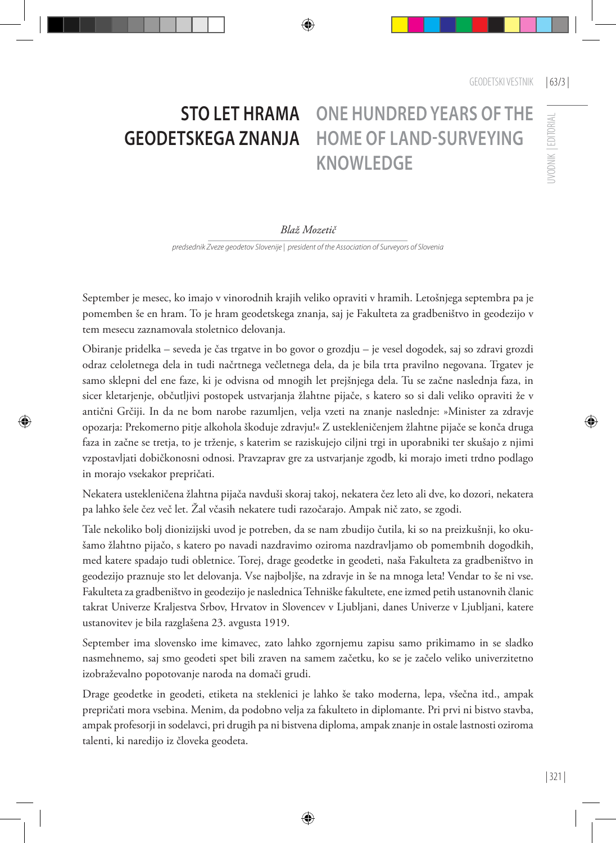## **IVODNIK EDITORIAL** UVODNIK | EDITORIAL

## **STO LET HRAMA GEODETSKEGA ZNANJA**

## **ONE HUNDRED YEARS OF THE HOME OF LAND-SURVEYING KNOWLEDGE**

## *Blaž Mozetič*

*predsednik Zveze geodetov Slovenije | president of the Association of Surveyors of Slovenia*

September je mesec, ko imajo v vinorodnih krajih veliko opraviti v hramih. Letošnjega septembra pa je pomemben še en hram. To je hram geodetskega znanja, saj je Fakulteta za gradbeništvo in geodezijo v tem mesecu zaznamovala stoletnico delovanja.

Obiranje pridelka – seveda je čas trgatve in bo govor o grozdju – je vesel dogodek, saj so zdravi grozdi odraz celoletnega dela in tudi načrtnega večletnega dela, da je bila trta pravilno negovana. Trgatev je samo sklepni del ene faze, ki je odvisna od mnogih let prejšnjega dela. Tu se začne naslednja faza, in sicer kletarjenje, občutljivi postopek ustvarjanja žlahtne pijače, s katero so si dali veliko opraviti že v antični Grčiji. In da ne bom narobe razumljen, velja vzeti na znanje naslednje: »Minister za zdravje opozarja: Prekomerno pitje alkohola škoduje zdravju!« Z ustekleničenjem žlahtne pijače se konča druga faza in začne se tretja, to je trženje, s katerim se raziskujejo ciljni trgi in uporabniki ter skušajo z njimi vzpostavljati dobičkonosni odnosi. Pravzaprav gre za ustvarjanje zgodb, ki morajo imeti trdno podlago in morajo vsekakor prepričati.

Nekatera ustekleničena žlahtna pijača navduši skoraj takoj, nekatera čez leto ali dve, ko dozori, nekatera pa lahko šele čez več let. Žal včasih nekatere tudi razočarajo. Ampak nič zato, se zgodi.

Tale nekoliko bolj dionizijski uvod je potreben, da se nam zbudijo čutila, ki so na preizkušnji, ko okušamo žlahtno pijačo, s katero po navadi nazdravimo oziroma nazdravljamo ob pomembnih dogodkih, med katere spadajo tudi obletnice. Torej, drage geodetke in geodeti, naša Fakulteta za gradbeništvo in geodezijo praznuje sto let delovanja. Vse najboljše, na zdravje in še na mnoga leta! Vendar to še ni vse. Fakulteta za gradbeništvo in geodezijo je naslednica Tehniške fakultete, ene izmed petih ustanovnih članic takrat Univerze Kraljestva Srbov, Hrvatov in Slovencev v Ljubljani, danes Univerze v Ljubljani, katere ustanovitev je bila razglašena 23. avgusta 1919.

September ima slovensko ime kimavec, zato lahko zgornjemu zapisu samo prikimamo in se sladko nasmehnemo, saj smo geodeti spet bili zraven na samem začetku, ko se je začelo veliko univerzitetno izobraževalno popotovanje naroda na domači grudi.

Drage geodetke in geodeti, etiketa na steklenici je lahko še tako moderna, lepa, všečna itd., ampak prepričati mora vsebina. Menim, da podobno velja za fakulteto in diplomante. Pri prvi ni bistvo stavba, ampak profesorji in sodelavci, pri drugih pa ni bistvena diploma, ampak znanje in ostale lastnosti oziroma talenti, ki naredijo iz človeka geodeta.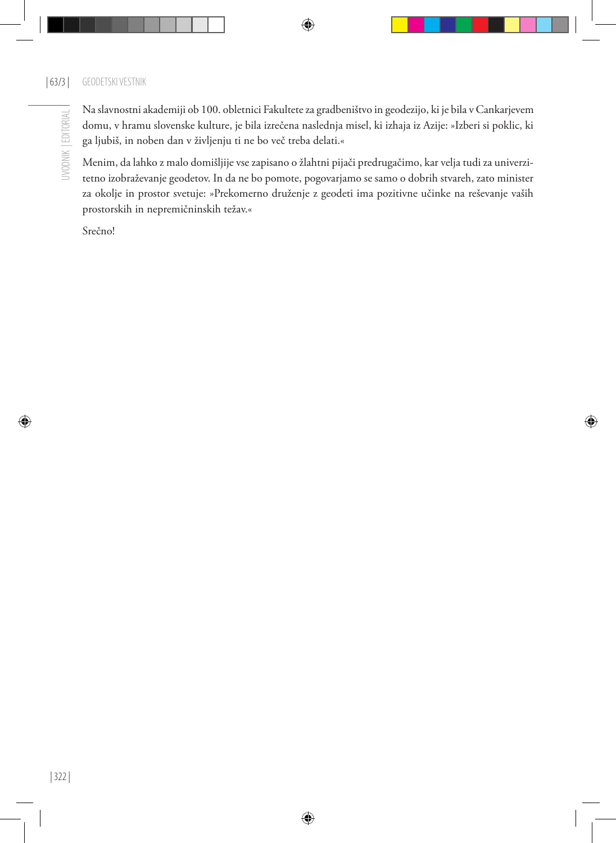Na slavnostni akademiji ob 100. obletnici Fakultete za gradbeništvo in geodezijo, ki je bila v Cankarjevem domu, v hramu slovenske kulture, je bila izrečena naslednja misel, ki izhaja iz Azije: »Izberi si poklic, ki ga ljubiš, in noben dan v življenju ti ne bo več treba delati.«

Menim, da lahko z malo domišljije vse zapisano o žlahtni pijači predrugačimo, kar velja tudi za univerzitetno izobraževanje geodetov. In da ne bo pomote, pogovarjamo se samo o dobrih stvareh, zato minister za okolje in prostor svetuje: »Prekomerno druženje z geodeti ima pozitivne učinke na reševanje vaših prostorskih in nepremičninskih težav.«

Srečno!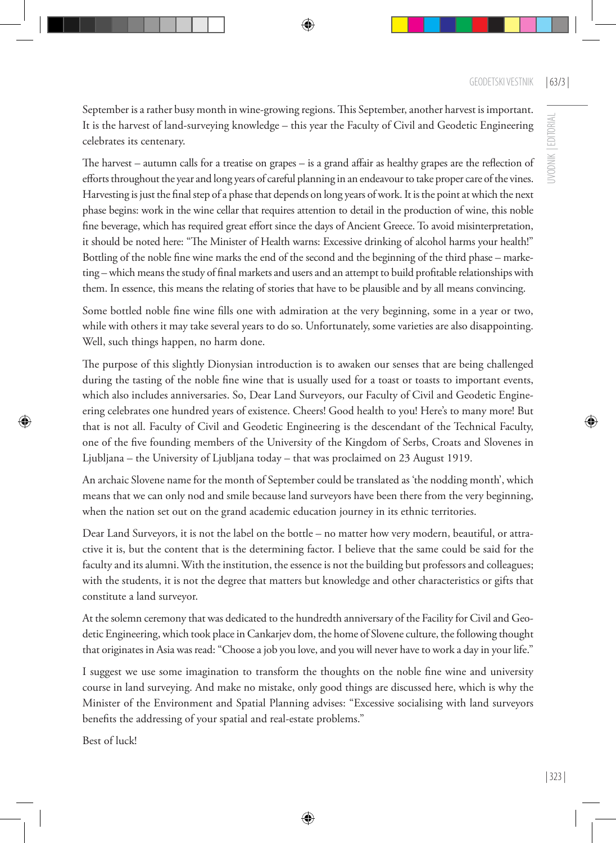UVODNIK | EDITORIAL

JVODNIK | EDITORIAL

September is a rather busy month in wine-growing regions. This September, another harvest is important. It is the harvest of land-surveying knowledge – this year the Faculty of Civil and Geodetic Engineering celebrates its centenary.

The harvest – autumn calls for a treatise on grapes – is a grand affair as healthy grapes are the reflection of efforts throughout the year and long years of careful planning in an endeavour to take proper care of the vines. Harvesting is just the final step of a phase that depends on long years of work. It is the point at which the next phase begins: work in the wine cellar that requires attention to detail in the production of wine, this noble fine beverage, which has required great effort since the days of Ancient Greece. To avoid misinterpretation, it should be noted here: "The Minister of Health warns: Excessive drinking of alcohol harms your health!" Bottling of the noble fine wine marks the end of the second and the beginning of the third phase – marketing – which means the study of final markets and users and an attempt to build profitable relationships with them. In essence, this means the relating of stories that have to be plausible and by all means convincing.

Some bottled noble fine wine fills one with admiration at the very beginning, some in a year or two, while with others it may take several years to do so. Unfortunately, some varieties are also disappointing. Well, such things happen, no harm done.

The purpose of this slightly Dionysian introduction is to awaken our senses that are being challenged during the tasting of the noble fine wine that is usually used for a toast or toasts to important events, which also includes anniversaries. So, Dear Land Surveyors, our Faculty of Civil and Geodetic Engineering celebrates one hundred years of existence. Cheers! Good health to you! Here's to many more! But that is not all. Faculty of Civil and Geodetic Engineering is the descendant of the Technical Faculty, one of the five founding members of the University of the Kingdom of Serbs, Croats and Slovenes in Ljubljana – the University of Ljubljana today – that was proclaimed on 23 August 1919.

An archaic Slovene name for the month of September could be translated as 'the nodding month', which means that we can only nod and smile because land surveyors have been there from the very beginning, when the nation set out on the grand academic education journey in its ethnic territories.

Dear Land Surveyors, it is not the label on the bottle – no matter how very modern, beautiful, or attractive it is, but the content that is the determining factor. I believe that the same could be said for the faculty and its alumni. With the institution, the essence is not the building but professors and colleagues; with the students, it is not the degree that matters but knowledge and other characteristics or gifts that constitute a land surveyor.

At the solemn ceremony that was dedicated to the hundredth anniversary of the Facility for Civil and Geodetic Engineering, which took place in Cankarjev dom, the home of Slovene culture, the following thought that originates in Asia was read: "Choose a job you love, and you will never have to work a day in your life."

I suggest we use some imagination to transform the thoughts on the noble fine wine and university course in land surveying. And make no mistake, only good things are discussed here, which is why the Minister of the Environment and Spatial Planning advises: "Excessive socialising with land surveyors benefits the addressing of your spatial and real-estate problems."

Best of luck!